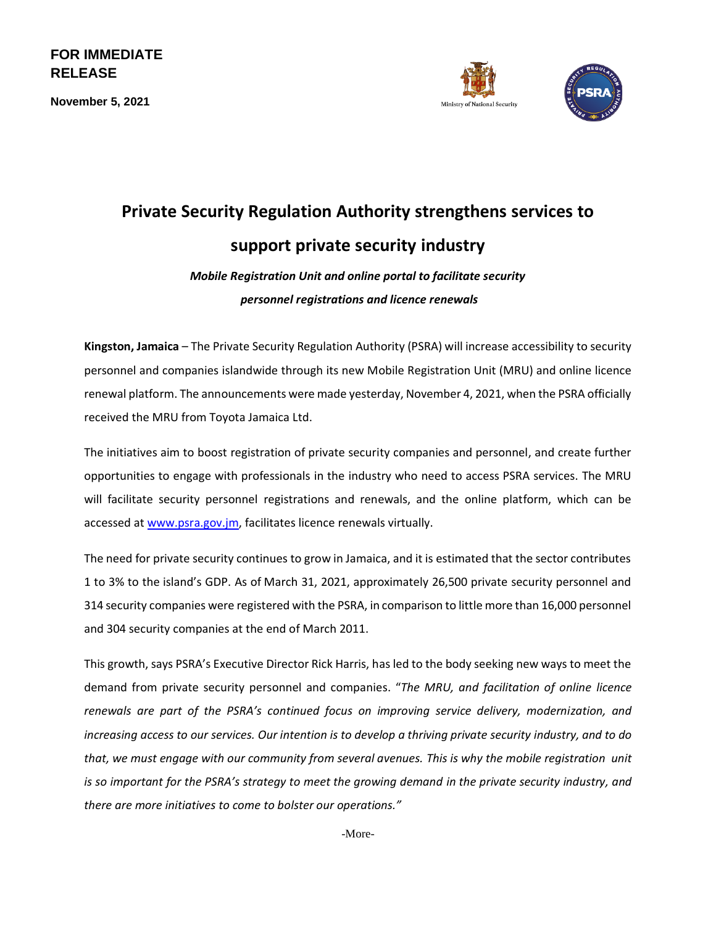**FOR IMMEDIATE RELEASE**

**November 5, 2021**





## **Private Security Regulation Authority strengthens services to support private security industry**

*Mobile Registration Unit and online portal to facilitate security personnel registrations and licence renewals*

**Kingston, Jamaica** – The Private Security Regulation Authority (PSRA) will increase accessibility to security personnel and companies islandwide through its new Mobile Registration Unit (MRU) and online licence renewal platform. The announcements were made yesterday, November 4, 2021, when the PSRA officially received the MRU from Toyota Jamaica Ltd.

The initiatives aim to boost registration of private security companies and personnel, and create further opportunities to engage with professionals in the industry who need to access PSRA services. The MRU will facilitate security personnel registrations and renewals, and the online platform, which can be accessed at [www.psra.gov.jm,](http://www.psra.gov.jm/) facilitates licence renewals virtually.

The need for private security continues to grow in Jamaica, and it is estimated that the sector contributes 1 to 3% to the island's GDP. As of March 31, 2021, approximately 26,500 private security personnel and 314 security companies were registered with the PSRA, in comparison to little more than 16,000 personnel and 304 security companies at the end of March 2011.

This growth, says PSRA's Executive Director Rick Harris, has led to the body seeking new ways to meet the demand from private security personnel and companies. "*The MRU, and facilitation of online licence renewals are part of the PSRA's continued focus on improving service delivery, modernization, and increasing access to our services. Our intention is to develop a thriving private security industry, and to do that, we must engage with our community from several avenues. This is why the mobile registration unit is so important for the PSRA's strategy to meet the growing demand in the private security industry, and there are more initiatives to come to bolster our operations."*

-More-